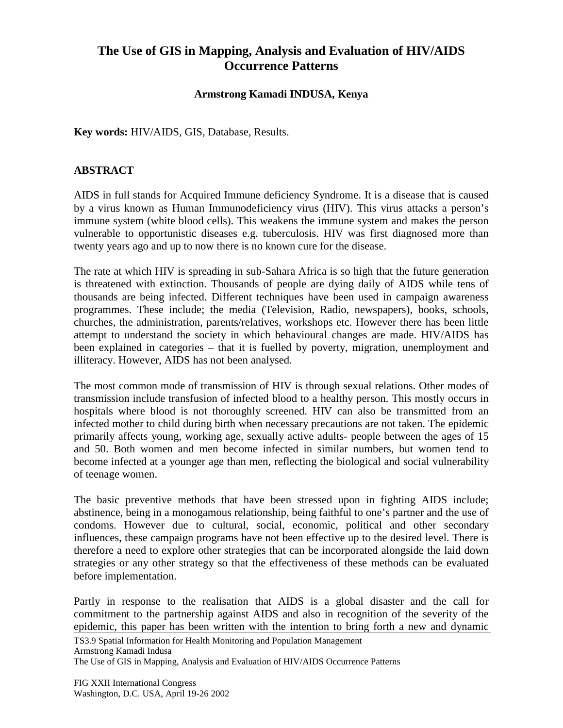## **The Use of GIS in Mapping, Analysis and Evaluation of HIV/AIDS Occurrence Patterns**

## **Armstrong Kamadi INDUSA, Kenya**

**Key words:** HIV/AIDS, GIS, Database, Results.

## **ABSTRACT**

AIDS in full stands for Acquired Immune deficiency Syndrome. It is a disease that is caused by a virus known as Human Immunodeficiency virus (HIV). This virus attacks a person's immune system (white blood cells). This weakens the immune system and makes the person vulnerable to opportunistic diseases e.g. tuberculosis. HIV was first diagnosed more than twenty years ago and up to now there is no known cure for the disease.

The rate at which HIV is spreading in sub-Sahara Africa is so high that the future generation is threatened with extinction. Thousands of people are dying daily of AIDS while tens of thousands are being infected. Different techniques have been used in campaign awareness programmes. These include; the media (Television, Radio, newspapers), books, schools, churches, the administration, parents/relatives, workshops etc. However there has been little attempt to understand the society in which behavioural changes are made. HIV/AIDS has been explained in categories – that it is fuelled by poverty, migration, unemployment and illiteracy. However, AIDS has not been analysed.

The most common mode of transmission of HIV is through sexual relations. Other modes of transmission include transfusion of infected blood to a healthy person. This mostly occurs in hospitals where blood is not thoroughly screened. HIV can also be transmitted from an infected mother to child during birth when necessary precautions are not taken. The epidemic primarily affects young, working age, sexually active adults- people between the ages of 15 and 50. Both women and men become infected in similar numbers, but women tend to become infected at a younger age than men, reflecting the biological and social vulnerability of teenage women.

The basic preventive methods that have been stressed upon in fighting AIDS include; abstinence, being in a monogamous relationship, being faithful to one's partner and the use of condoms. However due to cultural, social, economic, political and other secondary influences, these campaign programs have not been effective up to the desired level. There is therefore a need to explore other strategies that can be incorporated alongside the laid down strategies or any other strategy so that the effectiveness of these methods can be evaluated before implementation.

Partly in response to the realisation that AIDS is a global disaster and the call for commitment to the partnership against AIDS and also in recognition of the severity of the epidemic, this paper has been written with the intention to bring forth a new and dynamic

TS3.9 Spatial Information for Health Monitoring and Population Management

Armstrong Kamadi Indusa

The Use of GIS in Mapping, Analysis and Evaluation of HIV/AIDS Occurrence Patterns